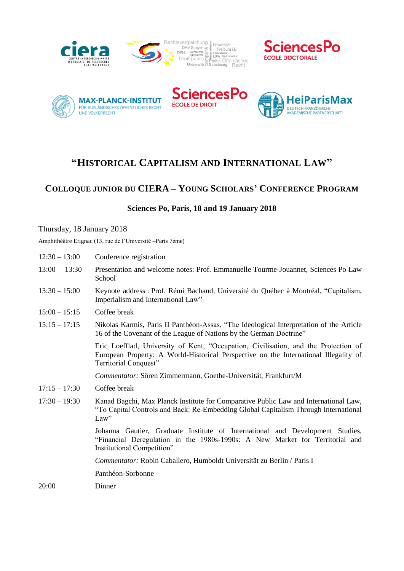







# **"HISTORICAL CAPITALISM AND INTERNATIONAL LAW"**

## **COLLOQUE JUNIOR DU CIERA – YOUNG SCHOLARS' CONFERENCE PROGRAM**

## **Sciences Po, Paris, 18 and 19 January 2018**

#### Thursday, 18 January 2018

Amphithéâtre Erignac (13, rue de l'Université –Paris 7ème)

| $12:30 - 13:00$ | Conference registration                                                                                                                                                                              |
|-----------------|------------------------------------------------------------------------------------------------------------------------------------------------------------------------------------------------------|
| $13:00 - 13:30$ | Presentation and welcome notes: Prof. Emmanuelle Tourme-Jouannet, Sciences Po Law<br>School                                                                                                          |
| $13:30 - 15:00$ | Keynote address : Prof. Rémi Bachand, Université du Québec à Montréal, "Capitalism,<br>Imperialism and International Law"                                                                            |
| $15:00 - 15:15$ | Coffee break                                                                                                                                                                                         |
| $15:15 - 17:15$ | Nikolas Karmis, Paris II Panthéon-Assas, "The Ideological Interpretation of the Article<br>16 of the Covenant of the League of Nations by the German Doctrine"                                       |
|                 | Eric Loefflad, University of Kent, "Occupation, Civilisation, and the Protection of<br>European Property: A World-Historical Perspective on the International Illegality of<br>Territorial Conquest" |
|                 | Commentator: Sören Zimmermann, Goethe-Universität, Frankfurt/M                                                                                                                                       |
| $17:15 - 17:30$ | Coffee break                                                                                                                                                                                         |
| $17:30 - 19:30$ | Kanad Bagchi, Max Planck Institute for Comparative Public Law and International Law,<br>"To Capital Controls and Back: Re-Embedding Global Capitalism Through International<br>Law"                  |
|                 | Johanna Gautier, Graduate Institute of International and Development Studies,<br>"Financial Deregulation in the 1980s-1990s: A New Market for Territorial and<br>Institutional Competition"          |
|                 | Commentator: Robin Caballero, Humboldt Universität zu Berlin / Paris I                                                                                                                               |
|                 | Panthéon-Sorbonne                                                                                                                                                                                    |
| 20:00           | Dinner                                                                                                                                                                                               |
|                 |                                                                                                                                                                                                      |